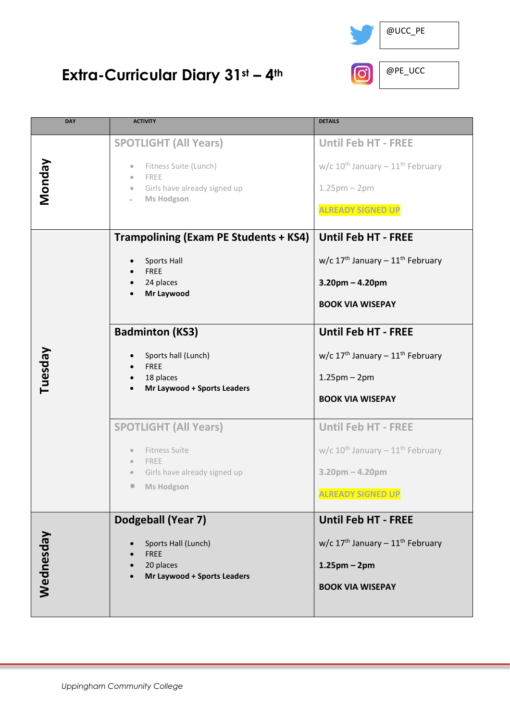

## **Extra-Curricular Diary 31st – 4th**

| <b>DAY</b> | <b>ACTIVITY</b>                                                                                                                                                       | <b>DETAILS</b>                                                                                                                |
|------------|-----------------------------------------------------------------------------------------------------------------------------------------------------------------------|-------------------------------------------------------------------------------------------------------------------------------|
|            |                                                                                                                                                                       |                                                                                                                               |
| Vionday    | <b>SPOTLIGHT (All Years)</b><br>Fitness Suite (Lunch)<br>$\bullet$<br>FREE<br>$\bullet$<br>Girls have already signed up<br>$\bullet$<br><b>Ms Hodgson</b>             | <b>Until Feb HT - FREE</b><br>w/c $10^{th}$ January - $11^{th}$ February<br>$1.25$ pm $-2$ pm<br><b>ALREADY SIGNED UP</b>     |
|            | <b>Trampolining (Exam PE Students + KS4)</b>                                                                                                                          | <b>Until Feb HT - FREE</b>                                                                                                    |
|            | Sports Hall<br><b>FREE</b><br>24 places<br>Mr Laywood                                                                                                                 | w/c $17^{th}$ January - $11^{th}$ February<br>$3.20$ pm $- 4.20$ pm<br><b>BOOK VIA WISEPAY</b>                                |
|            | <b>Badminton (KS3)</b>                                                                                                                                                | <b>Until Feb HT - FREE</b>                                                                                                    |
| Tuesday    | Sports hall (Lunch)<br><b>FREE</b><br>18 places<br>Mr Laywood + Sports Leaders                                                                                        | w/c $17th$ January - $11th$ February<br>$1.25$ pm – 2pm<br><b>BOOK VIA WISEPAY</b>                                            |
|            | <b>SPOTLIGHT (All Years)</b><br><b>Fitness Suite</b><br>$\bullet$<br>FREE<br>$\bullet$<br>Girls have already signed up<br>$\bullet$<br><b>Ms Hodgson</b><br>$\bullet$ | <b>Until Feb HT - FREE</b><br>w/c $10^{th}$ January - $11^{th}$ February<br>$3.20$ pm $- 4.20$ pm<br><b>ALREADY SIGNED UP</b> |
| Wednesday  | Dodgeball (Year 7)<br>Sports Hall (Lunch)<br><b>FREE</b><br>20 places<br>Mr Laywood + Sports Leaders                                                                  | <b>Until Feb HT - FREE</b><br>w/c $17th$ January - $11th$ February<br>$1.25$ pm – 2pm<br><b>BOOK VIA WISEPAY</b>              |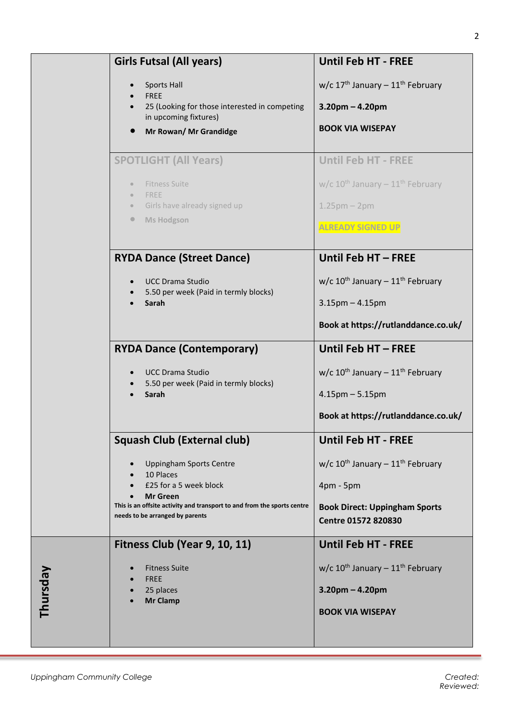|          | <b>Girls Futsal (All years)</b>                                                            | <b>Until Feb HT - FREE</b>                               |
|----------|--------------------------------------------------------------------------------------------|----------------------------------------------------------|
|          | <b>Sports Hall</b><br><b>FREE</b>                                                          | w/c 17 <sup>th</sup> January - 11 <sup>th</sup> February |
|          | 25 (Looking for those interested in competing<br>in upcoming fixtures)                     | $3.20$ pm – 4.20pm                                       |
|          | Mr Rowan/ Mr Grandidge                                                                     | <b>BOOK VIA WISEPAY</b>                                  |
|          |                                                                                            |                                                          |
|          | <b>SPOTLIGHT (All Years)</b>                                                               | <b>Until Feb HT - FREE</b>                               |
|          | <b>Fitness Suite</b><br>$\circ$<br>FREE<br>$\bullet$                                       | w/c $10^{th}$ January - $11^{th}$ February               |
|          | Girls have already signed up<br>$\circledcirc$                                             | $1.25$ pm – 2pm                                          |
|          | <b>Ms Hodgson</b><br>$\bullet$                                                             | <b>ALREADY SIGNED UP</b>                                 |
|          |                                                                                            |                                                          |
|          | <b>RYDA Dance (Street Dance)</b>                                                           | Until Feb HT - FREE                                      |
|          | <b>UCC Drama Studio</b><br>5.50 per week (Paid in termly blocks)                           | w/c $10^{th}$ January - $11^{th}$ February               |
|          | Sarah                                                                                      | $3.15$ pm $- 4.15$ pm                                    |
|          |                                                                                            | Book at https://rutlanddance.co.uk/                      |
|          | <b>RYDA Dance (Contemporary)</b>                                                           | Until Feb HT - FREE                                      |
|          | <b>UCC Drama Studio</b>                                                                    | w/c $10^{th}$ January - $11^{th}$ February               |
|          | 5.50 per week (Paid in termly blocks)<br>Sarah                                             | $4.15$ pm $- 5.15$ pm                                    |
|          |                                                                                            | Book at https://rutlanddance.co.uk/                      |
|          | <b>Squash Club (External club)</b>                                                         | <b>Until Feb HT - FREE</b>                               |
|          | <b>Uppingham Sports Centre</b>                                                             | w/c $10^{th}$ January - $11^{th}$ February               |
|          | 10 Places<br>£25 for a 5 week block                                                        | $4$ pm - 5pm                                             |
|          | <b>Mr Green</b><br>This is an offsite activity and transport to and from the sports centre | <b>Book Direct: Uppingham Sports</b>                     |
|          | needs to be arranged by parents                                                            | <b>Centre 01572 820830</b>                               |
|          | Fitness Club (Year 9, 10, 11)                                                              | <b>Until Feb HT - FREE</b>                               |
|          | <b>Fitness Suite</b><br><b>FREE</b>                                                        | w/c $10^{th}$ January - $11^{th}$ February               |
| Thursday | 25 places<br><b>Mr Clamp</b>                                                               | $3.20$ pm – 4.20pm                                       |
|          |                                                                                            | <b>BOOK VIA WISEPAY</b>                                  |
|          |                                                                                            |                                                          |